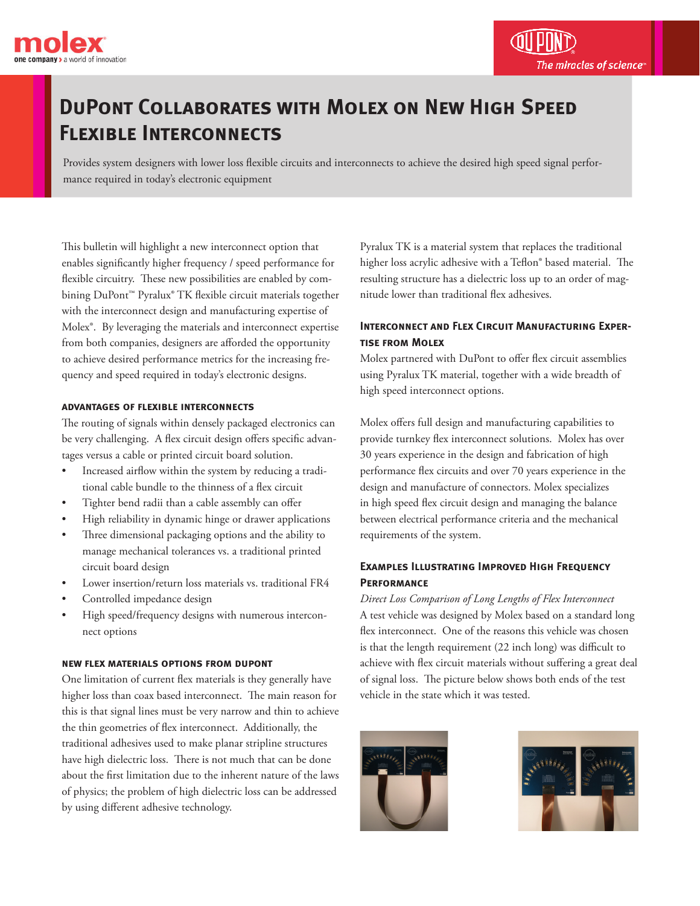

## **DuPont Collaborates with Molex on New High Speed Flexible Interconnects**

Provides system designers with lower loss flexible circuits and interconnects to achieve the desired high speed signal performance required in today's electronic equipment

This bulletin will highlight a new interconnect option that enables significantly higher frequency / speed performance for flexible circuitry. These new possibilities are enabled by combining DuPont™ Pyralux® TK flexible circuit materials together with the interconnect design and manufacturing expertise of Molex®. By leveraging the materials and interconnect expertise from both companies, designers are afforded the opportunity to achieve desired performance metrics for the increasing frequency and speed required in today's electronic designs.

#### **advantages of flexible interconnects**

The routing of signals within densely packaged electronics can be very challenging. A flex circuit design offers specific advantages versus a cable or printed circuit board solution.

- Increased airflow within the system by reducing a traditional cable bundle to the thinness of a flex circuit
- Tighter bend radii than a cable assembly can offer
- High reliability in dynamic hinge or drawer applications
- Three dimensional packaging options and the ability to manage mechanical tolerances vs. a traditional printed circuit board design
- Lower insertion/return loss materials vs. traditional FR4
- Controlled impedance design
- High speed/frequency designs with numerous interconnect options

#### **new flex materials options from dupont**

One limitation of current flex materials is they generally have higher loss than coax based interconnect. The main reason for this is that signal lines must be very narrow and thin to achieve the thin geometries of flex interconnect. Additionally, the traditional adhesives used to make planar stripline structures have high dielectric loss. There is not much that can be done about the first limitation due to the inherent nature of the laws of physics; the problem of high dielectric loss can be addressed by using different adhesive technology.

Pyralux TK is a material system that replaces the traditional higher loss acrylic adhesive with a Teflon® based material. The resulting structure has a dielectric loss up to an order of magnitude lower than traditional flex adhesives.

### **INTERCONNECT AND FLEX CIRCUIT MANUFACTURING EXPERtise from Molex**

Molex partnered with DuPont to offer flex circuit assemblies using Pyralux TK material, together with a wide breadth of high speed interconnect options.

Molex offers full design and manufacturing capabilities to provide turnkey flex interconnect solutions. Molex has over 30 years experience in the design and fabrication of high performance flex circuits and over 70 years experience in the design and manufacture of connectors. Molex specializes in high speed flex circuit design and managing the balance between electrical performance criteria and the mechanical requirements of the system.

### **Examples Illustrating Improved High Frequency Performance**

*Direct Loss Comparison of Long Lengths of Flex Interconnect* A test vehicle was designed by Molex based on a standard long flex interconnect. One of the reasons this vehicle was chosen is that the length requirement (22 inch long) was difficult to achieve with flex circuit materials without suffering a great deal of signal loss. The picture below shows both ends of the test vehicle in the state which it was tested.



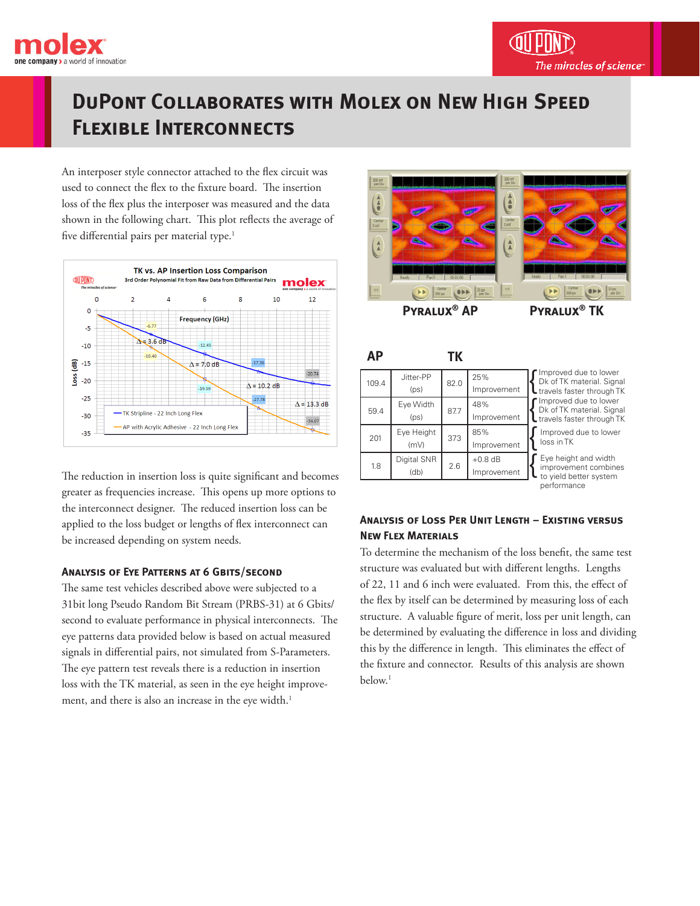

## **DuPont Collaborates with Molex on New High Speed Flexible Interconnects**

An interposer style connector attached to the flex circuit was used to connect the flex to the fixture board. The insertion loss of the flex plus the interposer was measured and the data shown in the following chart. This plot reflects the average of five differential pairs per material type.<sup>1</sup>



The reduction in insertion loss is quite significant and becomes greater as frequencies increase. This opens up more options to the interconnect designer. The reduced insertion loss can be applied to the loss budget or lengths of flex interconnect can be increased depending on system needs.

### **Analysis of Eye Patterns at 6 Gbits/second**

The same test vehicles described above were subjected to a 31bit long Pseudo Random Bit Stream (PRBS-31) at 6 Gbits/ second to evaluate performance in physical interconnects. The eye patterns data provided below is based on actual measured signals in differential pairs, not simulated from S-Parameters. The eye pattern test reveals there is a reduction in insertion loss with the TK material, as seen in the eye height improvement, and there is also an increase in the eye width.<sup>1</sup>



**AP TK**

| 109.4 | Jitter-PP<br>(p <sub>S</sub> ) | 82.0 | 25%<br>Improvement       | lmp<br>Dk o<br>trav                          |
|-------|--------------------------------|------|--------------------------|----------------------------------------------|
| 59.4  | Eye Width<br>(ps)              | 87.7 | 48%<br>Improvement       | lmp<br>Dk o<br>$\overline{\phantom{a}}$ trav |
| 201   | Eye Height<br>(mV)             | 373  | 85%<br>Improvement       | Imp<br>loss                                  |
| 1.8   | Digital SNR<br>(db)            | 2.6  | $+0.8$ dB<br>Improvement | Eye<br>imp<br>to v                           |

Inproved due to lower of TK material. Signal els faster through TK height and width provement combines proved due to lower .<br>s in TK **Inproved due to lower** of TK material. Signal rels faster through TK

vield better system performance

### **Analysis of Loss Per Unit Length – Existing versus New Flex Materials**

To determine the mechanism of the loss benefit, the same test structure was evaluated but with different lengths. Lengths of 22, 11 and 6 inch were evaluated. From this, the effect of the flex by itself can be determined by measuring loss of each structure. A valuable figure of merit, loss per unit length, can be determined by evaluating the difference in loss and dividing this by the difference in length. This eliminates the effect of the fixture and connector. Results of this analysis are shown below.<sup>1</sup>